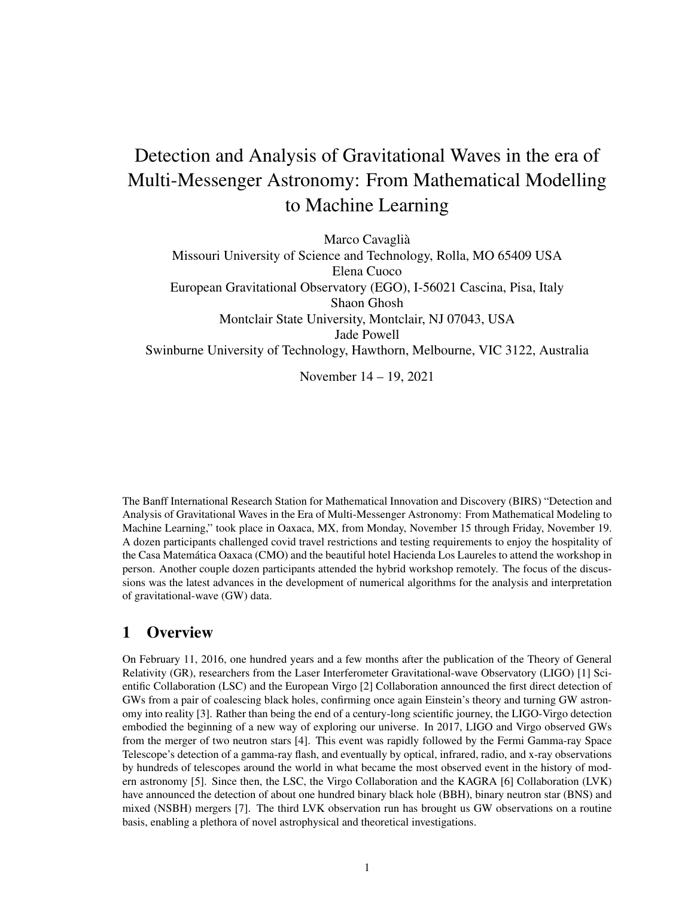# Detection and Analysis of Gravitational Waves in the era of Multi-Messenger Astronomy: From Mathematical Modelling to Machine Learning

Marco Cavaglià Missouri University of Science and Technology, Rolla, MO 65409 USA Elena Cuoco European Gravitational Observatory (EGO), I-56021 Cascina, Pisa, Italy Shaon Ghosh Montclair State University, Montclair, NJ 07043, USA Jade Powell Swinburne University of Technology, Hawthorn, Melbourne, VIC 3122, Australia

November 14 – 19, 2021

The Banff International Research Station for Mathematical Innovation and Discovery (BIRS) "Detection and Analysis of Gravitational Waves in the Era of Multi-Messenger Astronomy: From Mathematical Modeling to Machine Learning," took place in Oaxaca, MX, from Monday, November 15 through Friday, November 19. A dozen participants challenged covid travel restrictions and testing requirements to enjoy the hospitality of the Casa Matematica Oaxaca (CMO) and the beautiful hotel Hacienda Los Laureles to attend the workshop in ´ person. Another couple dozen participants attended the hybrid workshop remotely. The focus of the discussions was the latest advances in the development of numerical algorithms for the analysis and interpretation of gravitational-wave (GW) data.

# 1 Overview

On February 11, 2016, one hundred years and a few months after the publication of the Theory of General Relativity (GR), researchers from the Laser Interferometer Gravitational-wave Observatory (LIGO) [1] Scientific Collaboration (LSC) and the European Virgo [2] Collaboration announced the first direct detection of GWs from a pair of coalescing black holes, confirming once again Einstein's theory and turning GW astronomy into reality [3]. Rather than being the end of a century-long scientific journey, the LIGO-Virgo detection embodied the beginning of a new way of exploring our universe. In 2017, LIGO and Virgo observed GWs from the merger of two neutron stars [4]. This event was rapidly followed by the Fermi Gamma-ray Space Telescope's detection of a gamma-ray flash, and eventually by optical, infrared, radio, and x-ray observations by hundreds of telescopes around the world in what became the most observed event in the history of modern astronomy [5]. Since then, the LSC, the Virgo Collaboration and the KAGRA [6] Collaboration (LVK) have announced the detection of about one hundred binary black hole (BBH), binary neutron star (BNS) and mixed (NSBH) mergers [7]. The third LVK observation run has brought us GW observations on a routine basis, enabling a plethora of novel astrophysical and theoretical investigations.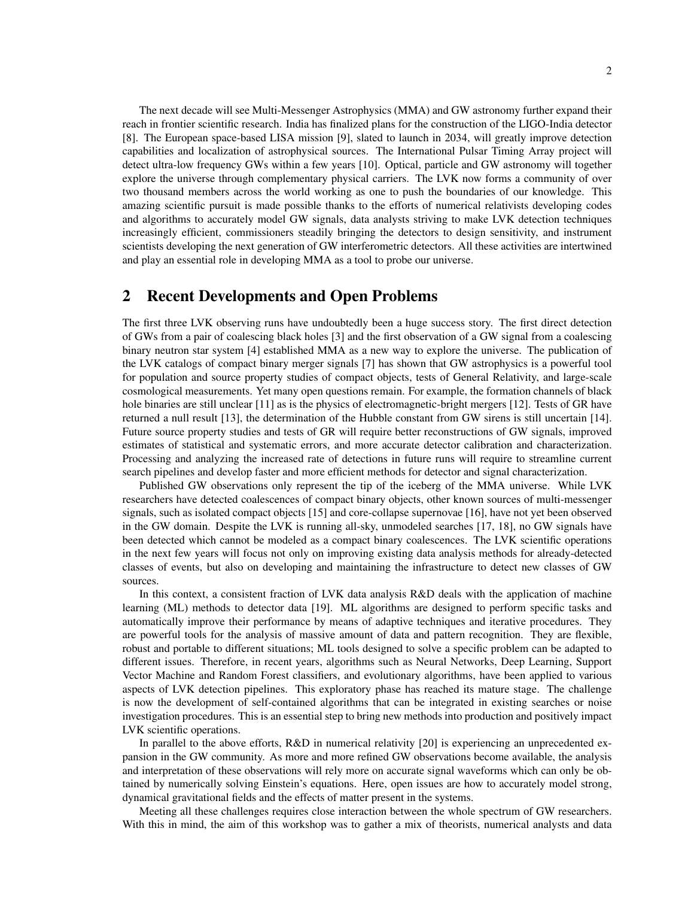The next decade will see Multi-Messenger Astrophysics (MMA) and GW astronomy further expand their reach in frontier scientific research. India has finalized plans for the construction of the LIGO-India detector [8]. The European space-based LISA mission [9], slated to launch in 2034, will greatly improve detection capabilities and localization of astrophysical sources. The International Pulsar Timing Array project will detect ultra-low frequency GWs within a few years [10]. Optical, particle and GW astronomy will together explore the universe through complementary physical carriers. The LVK now forms a community of over two thousand members across the world working as one to push the boundaries of our knowledge. This amazing scientific pursuit is made possible thanks to the efforts of numerical relativists developing codes and algorithms to accurately model GW signals, data analysts striving to make LVK detection techniques increasingly efficient, commissioners steadily bringing the detectors to design sensitivity, and instrument scientists developing the next generation of GW interferometric detectors. All these activities are intertwined and play an essential role in developing MMA as a tool to probe our universe.

#### 2 Recent Developments and Open Problems

The first three LVK observing runs have undoubtedly been a huge success story. The first direct detection of GWs from a pair of coalescing black holes [3] and the first observation of a GW signal from a coalescing binary neutron star system [4] established MMA as a new way to explore the universe. The publication of the LVK catalogs of compact binary merger signals [7] has shown that GW astrophysics is a powerful tool for population and source property studies of compact objects, tests of General Relativity, and large-scale cosmological measurements. Yet many open questions remain. For example, the formation channels of black hole binaries are still unclear [11] as is the physics of electromagnetic-bright mergers [12]. Tests of GR have returned a null result [13], the determination of the Hubble constant from GW sirens is still uncertain [14]. Future source property studies and tests of GR will require better reconstructions of GW signals, improved estimates of statistical and systematic errors, and more accurate detector calibration and characterization. Processing and analyzing the increased rate of detections in future runs will require to streamline current search pipelines and develop faster and more efficient methods for detector and signal characterization.

Published GW observations only represent the tip of the iceberg of the MMA universe. While LVK researchers have detected coalescences of compact binary objects, other known sources of multi-messenger signals, such as isolated compact objects [15] and core-collapse supernovae [16], have not yet been observed in the GW domain. Despite the LVK is running all-sky, unmodeled searches [17, 18], no GW signals have been detected which cannot be modeled as a compact binary coalescences. The LVK scientific operations in the next few years will focus not only on improving existing data analysis methods for already-detected classes of events, but also on developing and maintaining the infrastructure to detect new classes of GW sources.

In this context, a consistent fraction of LVK data analysis R&D deals with the application of machine learning (ML) methods to detector data [19]. ML algorithms are designed to perform specific tasks and automatically improve their performance by means of adaptive techniques and iterative procedures. They are powerful tools for the analysis of massive amount of data and pattern recognition. They are flexible, robust and portable to different situations; ML tools designed to solve a specific problem can be adapted to different issues. Therefore, in recent years, algorithms such as Neural Networks, Deep Learning, Support Vector Machine and Random Forest classifiers, and evolutionary algorithms, have been applied to various aspects of LVK detection pipelines. This exploratory phase has reached its mature stage. The challenge is now the development of self-contained algorithms that can be integrated in existing searches or noise investigation procedures. This is an essential step to bring new methods into production and positively impact LVK scientific operations.

In parallel to the above efforts, R&D in numerical relativity [20] is experiencing an unprecedented expansion in the GW community. As more and more refined GW observations become available, the analysis and interpretation of these observations will rely more on accurate signal waveforms which can only be obtained by numerically solving Einstein's equations. Here, open issues are how to accurately model strong, dynamical gravitational fields and the effects of matter present in the systems.

Meeting all these challenges requires close interaction between the whole spectrum of GW researchers. With this in mind, the aim of this workshop was to gather a mix of theorists, numerical analysts and data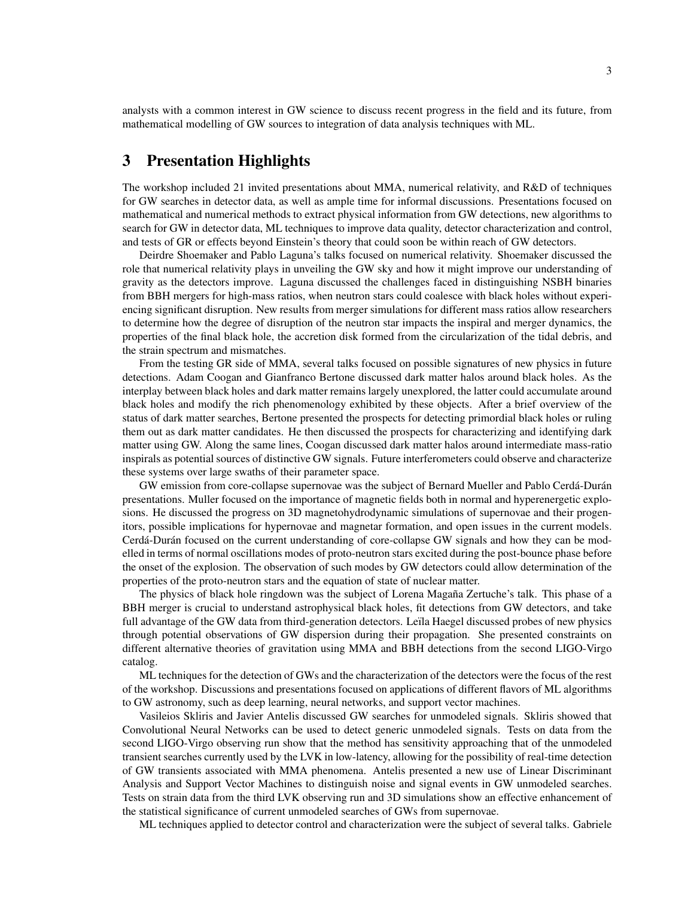analysts with a common interest in GW science to discuss recent progress in the field and its future, from mathematical modelling of GW sources to integration of data analysis techniques with ML.

## 3 Presentation Highlights

The workshop included 21 invited presentations about MMA, numerical relativity, and R&D of techniques for GW searches in detector data, as well as ample time for informal discussions. Presentations focused on mathematical and numerical methods to extract physical information from GW detections, new algorithms to search for GW in detector data, ML techniques to improve data quality, detector characterization and control, and tests of GR or effects beyond Einstein's theory that could soon be within reach of GW detectors.

Deirdre Shoemaker and Pablo Laguna's talks focused on numerical relativity. Shoemaker discussed the role that numerical relativity plays in unveiling the GW sky and how it might improve our understanding of gravity as the detectors improve. Laguna discussed the challenges faced in distinguishing NSBH binaries from BBH mergers for high-mass ratios, when neutron stars could coalesce with black holes without experiencing significant disruption. New results from merger simulations for different mass ratios allow researchers to determine how the degree of disruption of the neutron star impacts the inspiral and merger dynamics, the properties of the final black hole, the accretion disk formed from the circularization of the tidal debris, and the strain spectrum and mismatches.

From the testing GR side of MMA, several talks focused on possible signatures of new physics in future detections. Adam Coogan and Gianfranco Bertone discussed dark matter halos around black holes. As the interplay between black holes and dark matter remains largely unexplored, the latter could accumulate around black holes and modify the rich phenomenology exhibited by these objects. After a brief overview of the status of dark matter searches, Bertone presented the prospects for detecting primordial black holes or ruling them out as dark matter candidates. He then discussed the prospects for characterizing and identifying dark matter using GW. Along the same lines, Coogan discussed dark matter halos around intermediate mass-ratio inspirals as potential sources of distinctive GW signals. Future interferometers could observe and characterize these systems over large swaths of their parameter space.

GW emission from core-collapse supernovae was the subject of Bernard Mueller and Pablo Cerdá-Durán presentations. Muller focused on the importance of magnetic fields both in normal and hyperenergetic explosions. He discussed the progress on 3D magnetohydrodynamic simulations of supernovae and their progenitors, possible implications for hypernovae and magnetar formation, and open issues in the current models. Cerdá-Durán focused on the current understanding of core-collapse GW signals and how they can be modelled in terms of normal oscillations modes of proto-neutron stars excited during the post-bounce phase before the onset of the explosion. The observation of such modes by GW detectors could allow determination of the properties of the proto-neutron stars and the equation of state of nuclear matter.

The physics of black hole ringdown was the subject of Lorena Magaña Zertuche's talk. This phase of a BBH merger is crucial to understand astrophysical black holes, fit detections from GW detectors, and take full advantage of the GW data from third-generation detectors. Leïla Haegel discussed probes of new physics through potential observations of GW dispersion during their propagation. She presented constraints on different alternative theories of gravitation using MMA and BBH detections from the second LIGO-Virgo catalog.

ML techniques for the detection of GWs and the characterization of the detectors were the focus of the rest of the workshop. Discussions and presentations focused on applications of different flavors of ML algorithms to GW astronomy, such as deep learning, neural networks, and support vector machines.

Vasileios Skliris and Javier Antelis discussed GW searches for unmodeled signals. Skliris showed that Convolutional Neural Networks can be used to detect generic unmodeled signals. Tests on data from the second LIGO-Virgo observing run show that the method has sensitivity approaching that of the unmodeled transient searches currently used by the LVK in low-latency, allowing for the possibility of real-time detection of GW transients associated with MMA phenomena. Antelis presented a new use of Linear Discriminant Analysis and Support Vector Machines to distinguish noise and signal events in GW unmodeled searches. Tests on strain data from the third LVK observing run and 3D simulations show an effective enhancement of the statistical significance of current unmodeled searches of GWs from supernovae.

ML techniques applied to detector control and characterization were the subject of several talks. Gabriele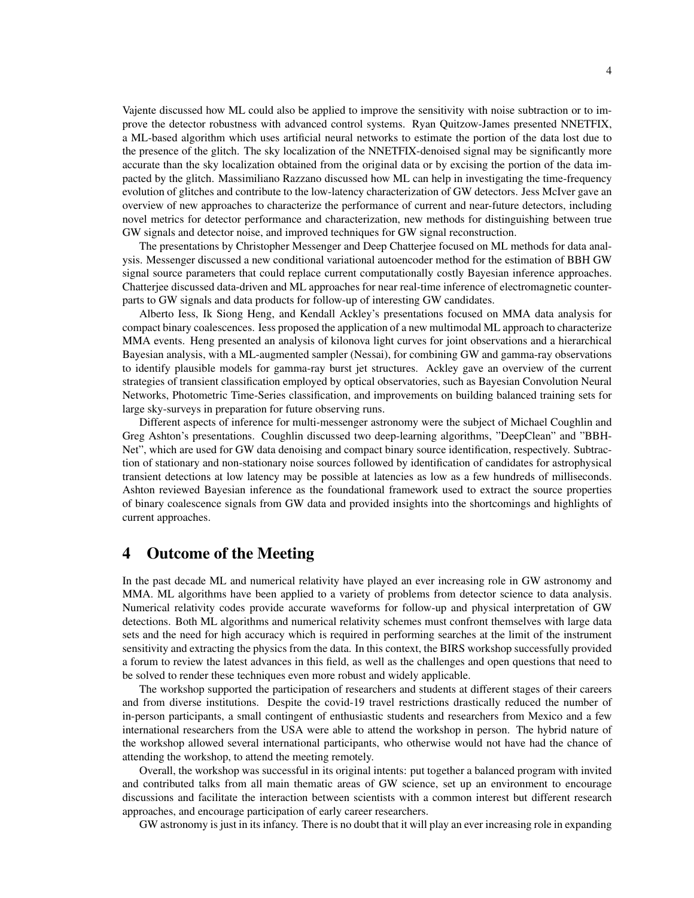Vajente discussed how ML could also be applied to improve the sensitivity with noise subtraction or to improve the detector robustness with advanced control systems. Ryan Quitzow-James presented NNETFIX, a ML-based algorithm which uses artificial neural networks to estimate the portion of the data lost due to the presence of the glitch. The sky localization of the NNETFIX-denoised signal may be significantly more accurate than the sky localization obtained from the original data or by excising the portion of the data impacted by the glitch. Massimiliano Razzano discussed how ML can help in investigating the time-frequency evolution of glitches and contribute to the low-latency characterization of GW detectors. Jess McIver gave an overview of new approaches to characterize the performance of current and near-future detectors, including novel metrics for detector performance and characterization, new methods for distinguishing between true GW signals and detector noise, and improved techniques for GW signal reconstruction.

The presentations by Christopher Messenger and Deep Chatterjee focused on ML methods for data analysis. Messenger discussed a new conditional variational autoencoder method for the estimation of BBH GW signal source parameters that could replace current computationally costly Bayesian inference approaches. Chatterjee discussed data-driven and ML approaches for near real-time inference of electromagnetic counterparts to GW signals and data products for follow-up of interesting GW candidates.

Alberto Iess, Ik Siong Heng, and Kendall Ackley's presentations focused on MMA data analysis for compact binary coalescences. Iess proposed the application of a new multimodal ML approach to characterize MMA events. Heng presented an analysis of kilonova light curves for joint observations and a hierarchical Bayesian analysis, with a ML-augmented sampler (Nessai), for combining GW and gamma-ray observations to identify plausible models for gamma-ray burst jet structures. Ackley gave an overview of the current strategies of transient classification employed by optical observatories, such as Bayesian Convolution Neural Networks, Photometric Time-Series classification, and improvements on building balanced training sets for large sky-surveys in preparation for future observing runs.

Different aspects of inference for multi-messenger astronomy were the subject of Michael Coughlin and Greg Ashton's presentations. Coughlin discussed two deep-learning algorithms, "DeepClean" and "BBH-Net", which are used for GW data denoising and compact binary source identification, respectively. Subtraction of stationary and non-stationary noise sources followed by identification of candidates for astrophysical transient detections at low latency may be possible at latencies as low as a few hundreds of milliseconds. Ashton reviewed Bayesian inference as the foundational framework used to extract the source properties of binary coalescence signals from GW data and provided insights into the shortcomings and highlights of current approaches.

#### 4 Outcome of the Meeting

In the past decade ML and numerical relativity have played an ever increasing role in GW astronomy and MMA. ML algorithms have been applied to a variety of problems from detector science to data analysis. Numerical relativity codes provide accurate waveforms for follow-up and physical interpretation of GW detections. Both ML algorithms and numerical relativity schemes must confront themselves with large data sets and the need for high accuracy which is required in performing searches at the limit of the instrument sensitivity and extracting the physics from the data. In this context, the BIRS workshop successfully provided a forum to review the latest advances in this field, as well as the challenges and open questions that need to be solved to render these techniques even more robust and widely applicable.

The workshop supported the participation of researchers and students at different stages of their careers and from diverse institutions. Despite the covid-19 travel restrictions drastically reduced the number of in-person participants, a small contingent of enthusiastic students and researchers from Mexico and a few international researchers from the USA were able to attend the workshop in person. The hybrid nature of the workshop allowed several international participants, who otherwise would not have had the chance of attending the workshop, to attend the meeting remotely.

Overall, the workshop was successful in its original intents: put together a balanced program with invited and contributed talks from all main thematic areas of GW science, set up an environment to encourage discussions and facilitate the interaction between scientists with a common interest but different research approaches, and encourage participation of early career researchers.

GW astronomy is just in its infancy. There is no doubt that it will play an ever increasing role in expanding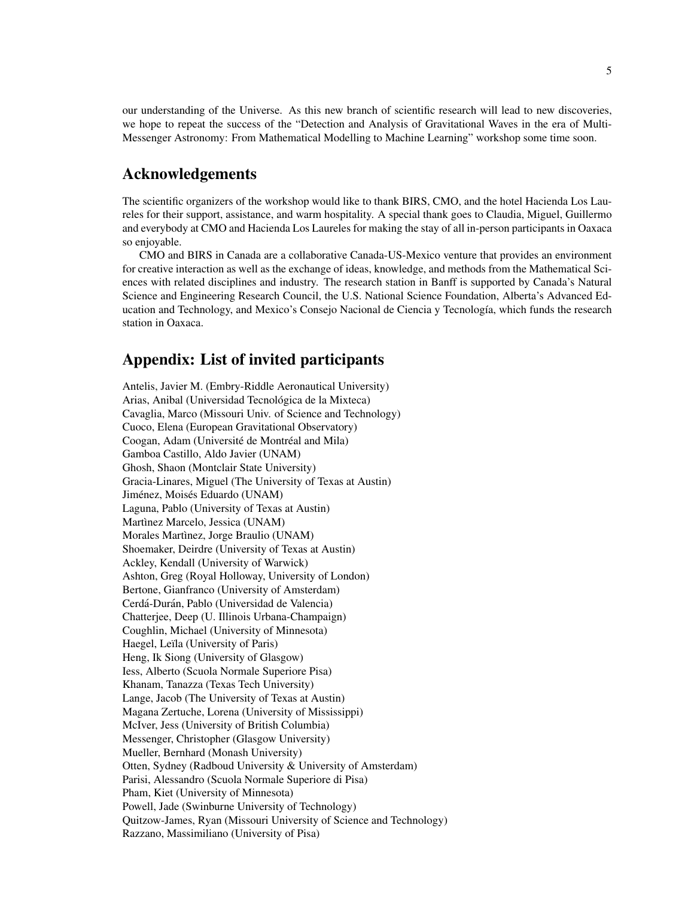our understanding of the Universe. As this new branch of scientific research will lead to new discoveries, we hope to repeat the success of the "Detection and Analysis of Gravitational Waves in the era of Multi-Messenger Astronomy: From Mathematical Modelling to Machine Learning" workshop some time soon.

#### Acknowledgements

The scientific organizers of the workshop would like to thank BIRS, CMO, and the hotel Hacienda Los Laureles for their support, assistance, and warm hospitality. A special thank goes to Claudia, Miguel, Guillermo and everybody at CMO and Hacienda Los Laureles for making the stay of all in-person participants in Oaxaca so enjoyable.

CMO and BIRS in Canada are a collaborative Canada-US-Mexico venture that provides an environment for creative interaction as well as the exchange of ideas, knowledge, and methods from the Mathematical Sciences with related disciplines and industry. The research station in Banff is supported by Canada's Natural Science and Engineering Research Council, the U.S. National Science Foundation, Alberta's Advanced Education and Technology, and Mexico's Consejo Nacional de Ciencia y Tecnología, which funds the research station in Oaxaca.

#### Appendix: List of invited participants

Antelis, Javier M. (Embry-Riddle Aeronautical University) Arias, Anibal (Universidad Tecnológica de la Mixteca) Cavaglia, Marco (Missouri Univ. of Science and Technology) Cuoco, Elena (European Gravitational Observatory) Coogan, Adam (Université de Montréal and Mila) Gamboa Castillo, Aldo Javier (UNAM) Ghosh, Shaon (Montclair State University) Gracia-Linares, Miguel (The University of Texas at Austin) Jiménez, Moisés Eduardo (UNAM) Laguna, Pablo (University of Texas at Austin) Martìnez Marcelo, Jessica (UNAM) Morales Martinez, Jorge Braulio (UNAM) Shoemaker, Deirdre (University of Texas at Austin) Ackley, Kendall (University of Warwick) Ashton, Greg (Royal Holloway, University of London) Bertone, Gianfranco (University of Amsterdam) Cerdá-Durán, Pablo (Universidad de Valencia) Chatterjee, Deep (U. Illinois Urbana-Champaign) Coughlin, Michael (University of Minnesota) Haegel, Leïla (University of Paris) Heng, Ik Siong (University of Glasgow) Iess, Alberto (Scuola Normale Superiore Pisa) Khanam, Tanazza (Texas Tech University) Lange, Jacob (The University of Texas at Austin) Magana Zertuche, Lorena (University of Mississippi) McIver, Jess (University of British Columbia) Messenger, Christopher (Glasgow University) Mueller, Bernhard (Monash University) Otten, Sydney (Radboud University & University of Amsterdam) Parisi, Alessandro (Scuola Normale Superiore di Pisa) Pham, Kiet (University of Minnesota) Powell, Jade (Swinburne University of Technology) Quitzow-James, Ryan (Missouri University of Science and Technology) Razzano, Massimiliano (University of Pisa)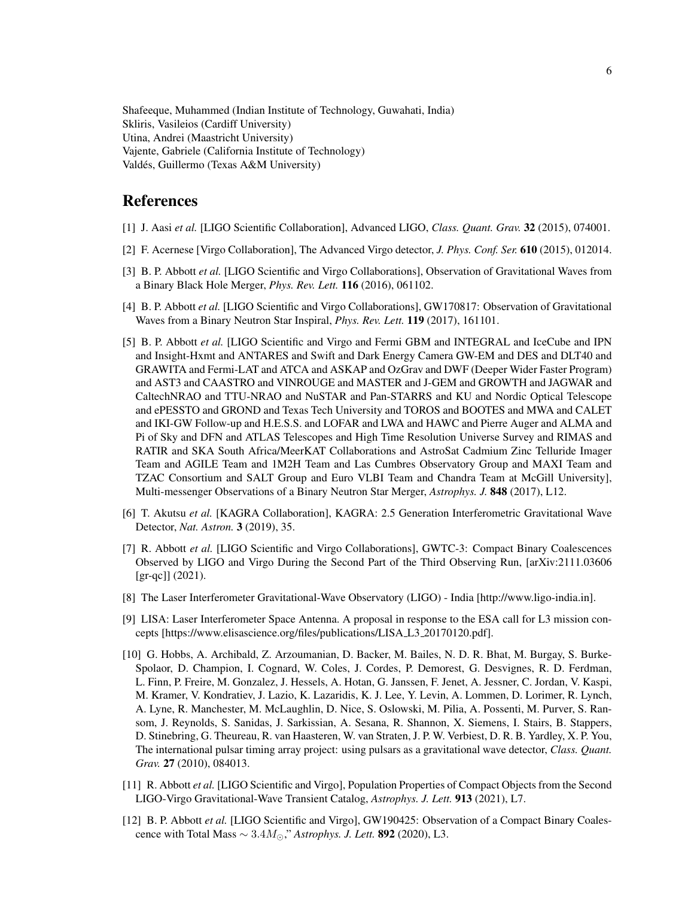Shafeeque, Muhammed (Indian Institute of Technology, Guwahati, India) Skliris, Vasileios (Cardiff University) Utina, Andrei (Maastricht University) Vajente, Gabriele (California Institute of Technology) Valdés, Guillermo (Texas A&M University)

### References

- [1] J. Aasi *et al.* [LIGO Scientific Collaboration], Advanced LIGO, *Class. Quant. Grav.* 32 (2015), 074001.
- [2] F. Acernese [Virgo Collaboration], The Advanced Virgo detector, *J. Phys. Conf. Ser.* 610 (2015), 012014.
- [3] B. P. Abbott *et al.* [LIGO Scientific and Virgo Collaborations], Observation of Gravitational Waves from a Binary Black Hole Merger, *Phys. Rev. Lett.* 116 (2016), 061102.
- [4] B. P. Abbott *et al.* [LIGO Scientific and Virgo Collaborations], GW170817: Observation of Gravitational Waves from a Binary Neutron Star Inspiral, *Phys. Rev. Lett.* 119 (2017), 161101.
- [5] B. P. Abbott *et al.* [LIGO Scientific and Virgo and Fermi GBM and INTEGRAL and IceCube and IPN and Insight-Hxmt and ANTARES and Swift and Dark Energy Camera GW-EM and DES and DLT40 and GRAWITA and Fermi-LAT and ATCA and ASKAP and OzGrav and DWF (Deeper Wider Faster Program) and AST3 and CAASTRO and VINROUGE and MASTER and J-GEM and GROWTH and JAGWAR and CaltechNRAO and TTU-NRAO and NuSTAR and Pan-STARRS and KU and Nordic Optical Telescope and ePESSTO and GROND and Texas Tech University and TOROS and BOOTES and MWA and CALET and IKI-GW Follow-up and H.E.S.S. and LOFAR and LWA and HAWC and Pierre Auger and ALMA and Pi of Sky and DFN and ATLAS Telescopes and High Time Resolution Universe Survey and RIMAS and RATIR and SKA South Africa/MeerKAT Collaborations and AstroSat Cadmium Zinc Telluride Imager Team and AGILE Team and 1M2H Team and Las Cumbres Observatory Group and MAXI Team and TZAC Consortium and SALT Group and Euro VLBI Team and Chandra Team at McGill University], Multi-messenger Observations of a Binary Neutron Star Merger, *Astrophys. J.* 848 (2017), L12.
- [6] T. Akutsu *et al.* [KAGRA Collaboration], KAGRA: 2.5 Generation Interferometric Gravitational Wave Detector, *Nat. Astron.* 3 (2019), 35.
- [7] R. Abbott *et al.* [LIGO Scientific and Virgo Collaborations], GWTC-3: Compact Binary Coalescences Observed by LIGO and Virgo During the Second Part of the Third Observing Run, [arXiv:2111.03606 [gr-qc]] (2021).
- [8] The Laser Interferometer Gravitational-Wave Observatory (LIGO) India [http://www.ligo-india.in].
- [9] LISA: Laser Interferometer Space Antenna. A proposal in response to the ESA call for L3 mission concepts [https://www.elisascience.org/files/publications/LISA L3 20170120.pdf].
- [10] G. Hobbs, A. Archibald, Z. Arzoumanian, D. Backer, M. Bailes, N. D. R. Bhat, M. Burgay, S. Burke-Spolaor, D. Champion, I. Cognard, W. Coles, J. Cordes, P. Demorest, G. Desvignes, R. D. Ferdman, L. Finn, P. Freire, M. Gonzalez, J. Hessels, A. Hotan, G. Janssen, F. Jenet, A. Jessner, C. Jordan, V. Kaspi, M. Kramer, V. Kondratiev, J. Lazio, K. Lazaridis, K. J. Lee, Y. Levin, A. Lommen, D. Lorimer, R. Lynch, A. Lyne, R. Manchester, M. McLaughlin, D. Nice, S. Oslowski, M. Pilia, A. Possenti, M. Purver, S. Ransom, J. Reynolds, S. Sanidas, J. Sarkissian, A. Sesana, R. Shannon, X. Siemens, I. Stairs, B. Stappers, D. Stinebring, G. Theureau, R. van Haasteren, W. van Straten, J. P. W. Verbiest, D. R. B. Yardley, X. P. You, The international pulsar timing array project: using pulsars as a gravitational wave detector, *Class. Quant. Grav.* 27 (2010), 084013.
- [11] R. Abbott *et al.* [LIGO Scientific and Virgo], Population Properties of Compact Objects from the Second LIGO-Virgo Gravitational-Wave Transient Catalog, *Astrophys. J. Lett.* 913 (2021), L7.
- [12] B. P. Abbott *et al.* [LIGO Scientific and Virgo], GW190425: Observation of a Compact Binary Coalescence with Total Mass  $\sim 3.4 M_{\odot}$ ," *Astrophys. J. Lett.* **892** (2020), L3.